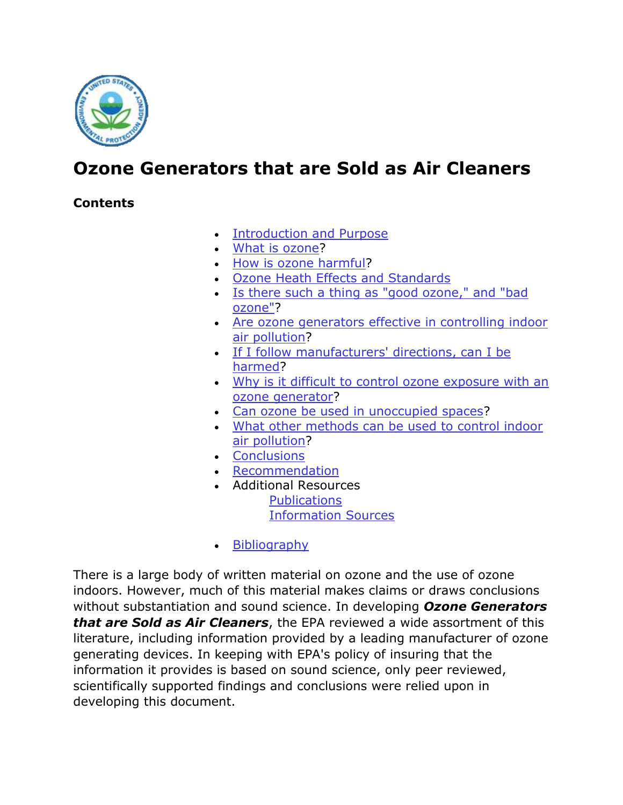

# **Ozone Generators that are Sold as Air Cleaners**

# **Contents**

- [Introduction and Purpose](http://www.epa.gov/iaq/pubs/ozonegen.html#Introduction and Purpose)
- [What is ozone?](http://www.epa.gov/iaq/pubs/ozonegen.html#what is ozone)
- [How is ozone harmful?](http://www.epa.gov/iaq/pubs/ozonegen.html#how is ozone harmful)
- [Ozone Heath Effects and Standards](http://www.epa.gov/iaq/pubs/ozonegen.html#table 1)
- [Is there such a thing as "good ozone," and "bad](http://www.epa.gov/iaq/pubs/ozonegen.html#is there such a thing as good and bad ozone)  [ozone"?](http://www.epa.gov/iaq/pubs/ozonegen.html#is there such a thing as good and bad ozone)
- [Are ozone generators effective in controlling indoor](http://www.epa.gov/iaq/pubs/ozonegen.html#are ozone generators effective in controlling pollution)  [air pollution?](http://www.epa.gov/iaq/pubs/ozonegen.html#are ozone generators effective in controlling pollution)
- [If I follow manufacturers' directions, can I be](http://www.epa.gov/iaq/pubs/ozonegen.html#if i follow manuf. directions will i be harmed)  [harmed?](http://www.epa.gov/iaq/pubs/ozonegen.html#if i follow manuf. directions will i be harmed)
- [Why is it difficult to control ozone exposure with an](http://www.epa.gov/iaq/pubs/ozonegen.html#why is it difficult to control ozone exposure with an ozone generator)  [ozone generator?](http://www.epa.gov/iaq/pubs/ozonegen.html#why is it difficult to control ozone exposure with an ozone generator)
- [Can ozone be used in unoccupied spaces?](http://www.epa.gov/iaq/pubs/ozonegen.html#can ozone be used in unoccupied spaces)
- [What other methods can be used to control indoor](http://www.epa.gov/iaq/pubs/ozonegen.html#what other methods can be used to control indoor air pollution)  [air pollution?](http://www.epa.gov/iaq/pubs/ozonegen.html#what other methods can be used to control indoor air pollution)
- [Conclusions](http://www.epa.gov/iaq/pubs/ozonegen.html#conclusions)
- [Recommendation](http://www.epa.gov/iaq/pubs/ozonegen.html#recommendations)
- Additional Resources **[Publications](http://www.epa.gov/iaq/pubs/ozonegen.html#publications)** [Information Sources](http://www.epa.gov/iaq/pubs/ozonegen.html#information sources)
- [Bibliography](http://www.epa.gov/iaq/pubs/ozonegen.html#bibliography)

There is a large body of written material on ozone and the use of ozone indoors. However, much of this material makes claims or draws conclusions without substantiation and sound science. In developing *Ozone Generators that are Sold as Air Cleaners*, the EPA reviewed a wide assortment of this literature, including information provided by a leading manufacturer of ozone generating devices. In keeping with EPA's policy of insuring that the information it provides is based on sound science, only peer reviewed, scientifically supported findings and conclusions were relied upon in developing this document.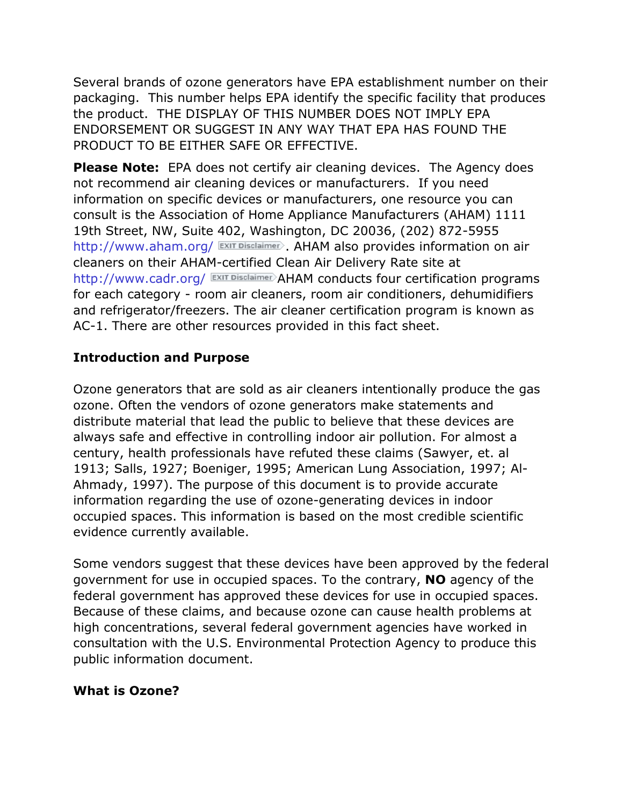Several brands of ozone generators have EPA establishment number on their packaging. This number helps EPA identify the specific facility that produces the product. THE DISPLAY OF THIS NUMBER DOES NOT IMPLY EPA ENDORSEMENT OR SUGGEST IN ANY WAY THAT EPA HAS FOUND THE PRODUCT TO BE EITHER SAFE OR EFFECTIVE.

**Please Note:** EPA does not certify air cleaning devices. The Agency does not recommend air cleaning devices or manufacturers. If you need information on specific devices or manufacturers, one resource you can consult is the Association of Home Appliance Manufacturers (AHAM) 1111 19th Street, NW, Suite 402, Washington, DC 20036, (202) 872-5955 <http://www.aham.org/> **EXIT Disclaimer**). AHAM also provides information on air cleaners on their AHAM-certified Clean Air Delivery Rate site at <http://www.cadr.org/> $\frac{EXIT\, Disclaimer}{AHAM}$  conducts four certification programs for each category - room air cleaners, room air conditioners, dehumidifiers and refrigerator/freezers. The air cleaner certification program is known as AC-1. There are other resources provided in this fact sheet.

## **Introduction and Purpose**

Ozone generators that are sold as air cleaners intentionally produce the gas ozone. Often the vendors of ozone generators make statements and distribute material that lead the public to believe that these devices are always safe and effective in controlling indoor air pollution. For almost a century, health professionals have refuted these claims (Sawyer, et. al 1913; Salls, 1927; Boeniger, 1995; American Lung Association, 1997; Al-Ahmady, 1997). The purpose of this document is to provide accurate information regarding the use of ozone-generating devices in indoor occupied spaces. This information is based on the most credible scientific evidence currently available.

Some vendors suggest that these devices have been approved by the federal government for use in occupied spaces. To the contrary, **NO** agency of the federal government has approved these devices for use in occupied spaces. Because of these claims, and because ozone can cause health problems at high concentrations, several federal government agencies have worked in consultation with the U.S. Environmental Protection Agency to produce this public information document.

#### **What is Ozone?**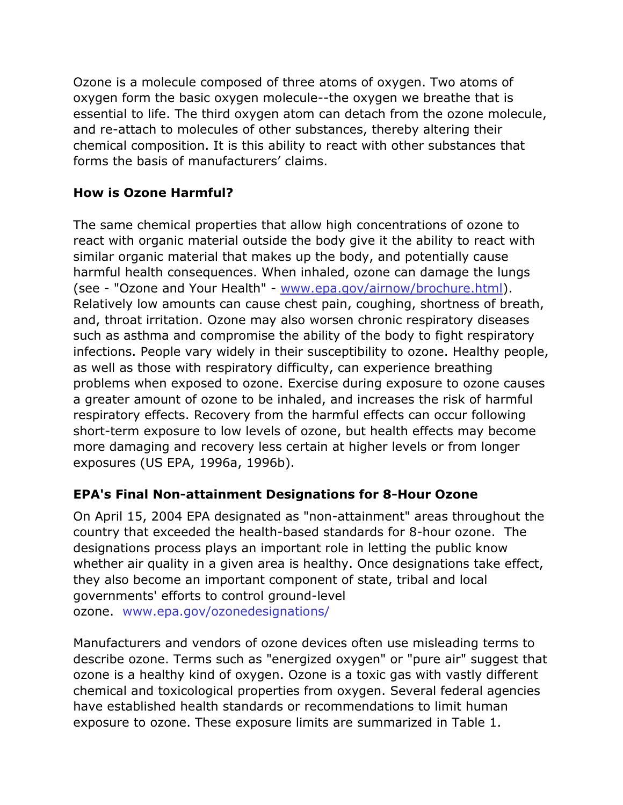Ozone is a molecule composed of three atoms of oxygen. Two atoms of oxygen form the basic oxygen molecule--the oxygen we breathe that is essential to life. The third oxygen atom can detach from the ozone molecule, and re-attach to molecules of other substances, thereby altering their chemical composition. It is this ability to react with other substances that forms the basis of manufacturers' claims.

## **How is Ozone Harmful?**

The same chemical properties that allow high concentrations of ozone to react with organic material outside the body give it the ability to react with similar organic material that makes up the body, and potentially cause harmful health consequences. When inhaled, ozone can damage the lungs (see - "Ozone and Your Health" - [www.epa.gov/airnow/brochure.html\)](http://www.epa.gov/airnow/brochure.html). Relatively low amounts can cause chest pain, coughing, shortness of breath, and, throat irritation. Ozone may also worsen chronic respiratory diseases such as asthma and compromise the ability of the body to fight respiratory infections. People vary widely in their susceptibility to ozone. Healthy people, as well as those with respiratory difficulty, can experience breathing problems when exposed to ozone. Exercise during exposure to ozone causes a greater amount of ozone to be inhaled, and increases the risk of harmful respiratory effects. Recovery from the harmful effects can occur following short-term exposure to low levels of ozone, but health effects may become more damaging and recovery less certain at higher levels or from longer exposures (US EPA, 1996a, 1996b).

## **EPA's Final Non-attainment Designations for 8-Hour Ozone**

On April 15, 2004 EPA designated as "non-attainment" areas throughout the country that exceeded the health-based standards for 8-hour ozone. The designations process plays an important role in letting the public know whether air quality in a given area is healthy. Once designations take effect, they also become an important component of state, tribal and local governments' efforts to control ground-level ozone. [www.epa.gov/ozonedesignations/](http://www.epa.gov/ozonedesignations/)

Manufacturers and vendors of ozone devices often use misleading terms to describe ozone. Terms such as "energized oxygen" or "pure air" suggest that ozone is a healthy kind of oxygen. Ozone is a toxic gas with vastly different chemical and toxicological properties from oxygen. Several federal agencies have established health standards or recommendations to limit human exposure to ozone. These exposure limits are summarized in Table 1.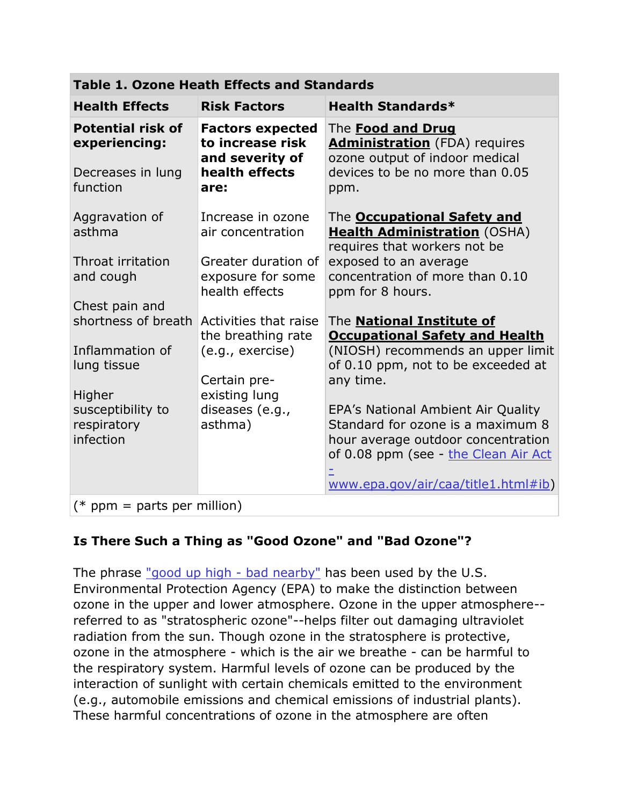| <b>Table 1. Ozone Heath Effects and Standards</b>       |                                                                |                                                                                                                                                                                              |
|---------------------------------------------------------|----------------------------------------------------------------|----------------------------------------------------------------------------------------------------------------------------------------------------------------------------------------------|
| <b>Health Effects</b>                                   | <b>Risk Factors</b>                                            | <b>Health Standards*</b>                                                                                                                                                                     |
| <b>Potential risk of</b><br>experiencing:               | <b>Factors expected</b><br>to increase risk<br>and severity of | The <b>Food and Drug</b><br><b>Administration</b> (FDA) requires<br>ozone output of indoor medical                                                                                           |
| Decreases in lung<br>function                           | health effects<br>are:                                         | devices to be no more than 0.05<br>ppm.                                                                                                                                                      |
| Aggravation of<br>asthma                                | Increase in ozone<br>air concentration                         | The <b>Occupational Safety and</b><br><b>Health Administration</b> (OSHA)<br>requires that workers not be                                                                                    |
| Throat irritation<br>and cough                          | Greater duration of<br>exposure for some<br>health effects     | exposed to an average<br>concentration of more than 0.10<br>ppm for 8 hours.                                                                                                                 |
| Chest pain and<br>shortness of breath                   | Activities that raise                                          | The <b>National Institute of</b>                                                                                                                                                             |
|                                                         | the breathing rate                                             | <b>Occupational Safety and Health</b>                                                                                                                                                        |
| Inflammation of<br>lung tissue                          | (e.g., exercise)<br>Certain pre-                               | (NIOSH) recommends an upper limit<br>of 0.10 ppm, not to be exceeded at<br>any time.                                                                                                         |
| Higher<br>susceptibility to<br>respiratory<br>infection | existing lung<br>diseases (e.g.,<br>asthma)                    | EPA's National Ambient Air Quality<br>Standard for ozone is a maximum 8<br>hour average outdoor concentration<br>of 0.08 ppm (see - the Clean Air Act<br>www.epa.gov/air/caa/title1.html#ib) |
| (* ppm = parts per million)                             |                                                                |                                                                                                                                                                                              |

# **Is There Such a Thing as "Good Ozone" and "Bad Ozone"?**

The phrase ["good up high -](http://www.epa.gov/oar/oaqps/gooduphigh/) bad nearby" has been used by the U.S. Environmental Protection Agency (EPA) to make the distinction between ozone in the upper and lower atmosphere. Ozone in the upper atmosphere- referred to as "stratospheric ozone"--helps filter out damaging ultraviolet radiation from the sun. Though ozone in the stratosphere is protective, ozone in the atmosphere - which is the air we breathe - can be harmful to the respiratory system. Harmful levels of ozone can be produced by the interaction of sunlight with certain chemicals emitted to the environment (e.g., automobile emissions and chemical emissions of industrial plants). These harmful concentrations of ozone in the atmosphere are often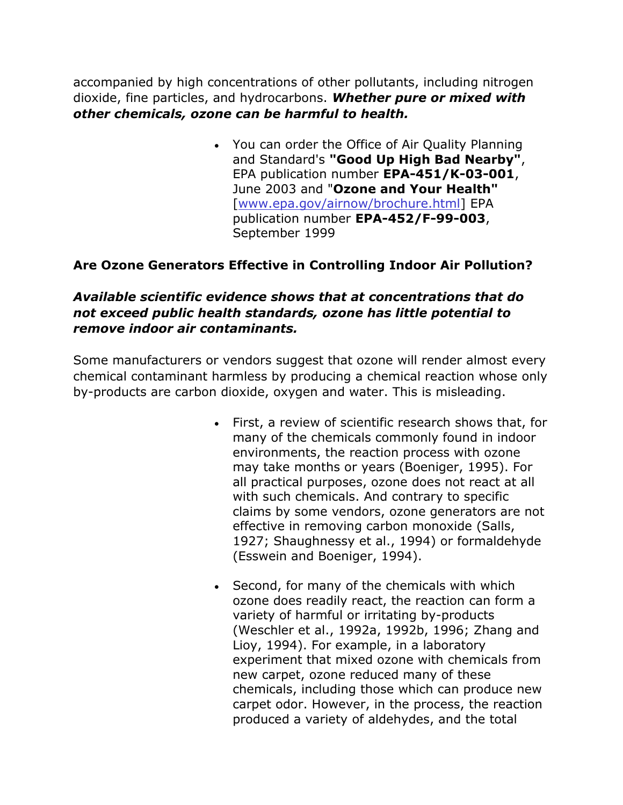accompanied by high concentrations of other pollutants, including nitrogen dioxide, fine particles, and hydrocarbons. *Whether pure or mixed with other chemicals, ozone can be harmful to health.*

> You can order the Office of Air Quality Planning and Standard's **"Good Up High Bad Nearby"**, EPA publication number **EPA-451/K-03-001**, June 2003 and "**Ozone and Your Health"** [\[www.epa.gov/airnow/brochure.html\]](http://www.epa.gov/airnow/brochure.html) EPA publication number **EPA-452/F-99-003**, September 1999

# **Are Ozone Generators Effective in Controlling Indoor Air Pollution?**

## *Available scientific evidence shows that at concentrations that do not exceed public health standards, ozone has little potential to remove indoor air contaminants.*

Some manufacturers or vendors suggest that ozone will render almost every chemical contaminant harmless by producing a chemical reaction whose only by-products are carbon dioxide, oxygen and water. This is misleading.

- First, a review of scientific research shows that, for many of the chemicals commonly found in indoor environments, the reaction process with ozone may take months or years (Boeniger, 1995). For all practical purposes, ozone does not react at all with such chemicals. And contrary to specific claims by some vendors, ozone generators are not effective in removing carbon monoxide (Salls, 1927; Shaughnessy et al., 1994) or formaldehyde (Esswein and Boeniger, 1994).
- Second, for many of the chemicals with which ozone does readily react, the reaction can form a variety of harmful or irritating by-products (Weschler et al., 1992a, 1992b, 1996; Zhang and Lioy, 1994). For example, in a laboratory experiment that mixed ozone with chemicals from new carpet, ozone reduced many of these chemicals, including those which can produce new carpet odor. However, in the process, the reaction produced a variety of aldehydes, and the total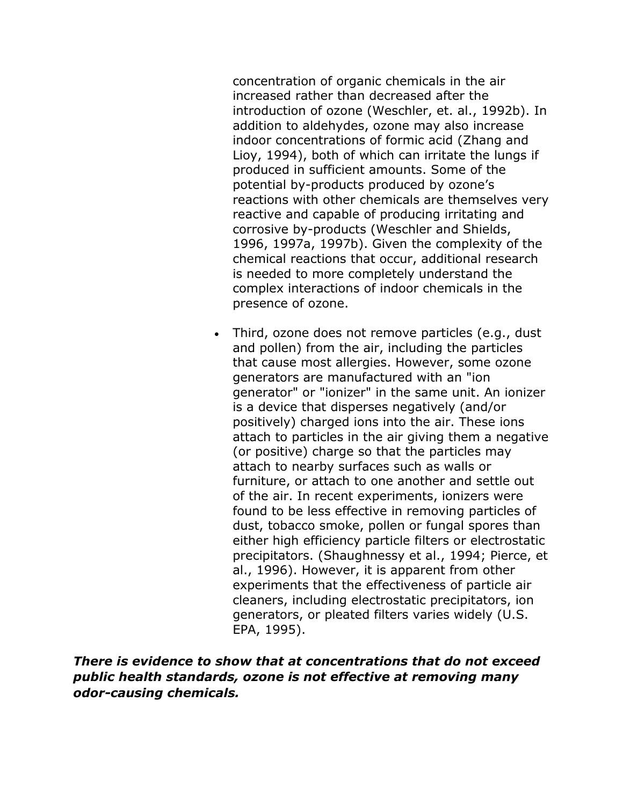concentration of organic chemicals in the air increased rather than decreased after the introduction of ozone (Weschler, et. al., 1992b). In addition to aldehydes, ozone may also increase indoor concentrations of formic acid (Zhang and Lioy, 1994), both of which can irritate the lungs if produced in sufficient amounts. Some of the potential by-products produced by ozone's reactions with other chemicals are themselves very reactive and capable of producing irritating and corrosive by-products (Weschler and Shields, 1996, 1997a, 1997b). Given the complexity of the chemical reactions that occur, additional research is needed to more completely understand the complex interactions of indoor chemicals in the presence of ozone.

 Third, ozone does not remove particles (e.g., dust and pollen) from the air, including the particles that cause most allergies. However, some ozone generators are manufactured with an "ion generator" or "ionizer" in the same unit. An ionizer is a device that disperses negatively (and/or positively) charged ions into the air. These ions attach to particles in the air giving them a negative (or positive) charge so that the particles may attach to nearby surfaces such as walls or furniture, or attach to one another and settle out of the air. In recent experiments, ionizers were found to be less effective in removing particles of dust, tobacco smoke, pollen or fungal spores than either high efficiency particle filters or electrostatic precipitators. (Shaughnessy et al., 1994; Pierce, et al., 1996). However, it is apparent from other experiments that the effectiveness of particle air cleaners, including electrostatic precipitators, ion generators, or pleated filters varies widely (U.S. EPA, 1995).

*There is evidence to show that at concentrations that do not exceed public health standards, ozone is not effective at removing many odor-causing chemicals.*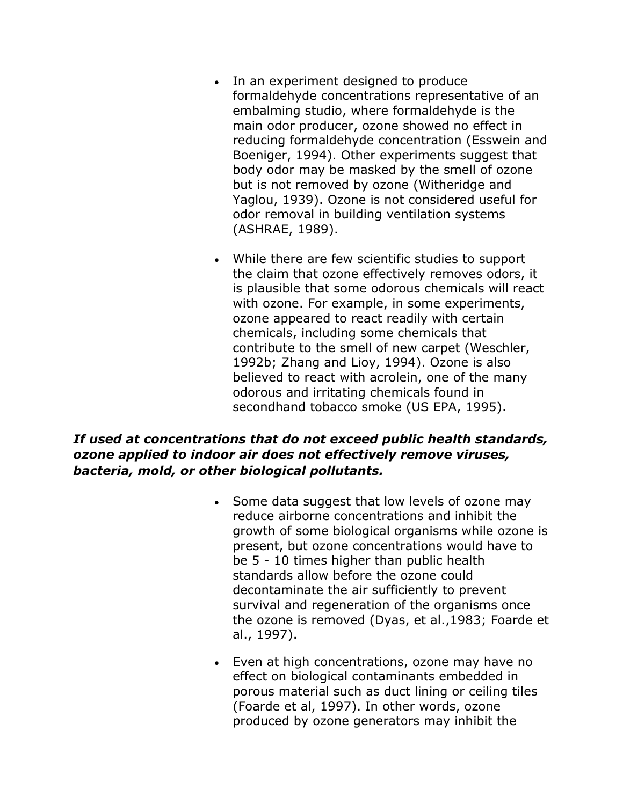- In an experiment designed to produce formaldehyde concentrations representative of an embalming studio, where formaldehyde is the main odor producer, ozone showed no effect in reducing formaldehyde concentration (Esswein and Boeniger, 1994). Other experiments suggest that body odor may be masked by the smell of ozone but is not removed by ozone (Witheridge and Yaglou, 1939). Ozone is not considered useful for odor removal in building ventilation systems (ASHRAE, 1989).
- While there are few scientific studies to support the claim that ozone effectively removes odors, it is plausible that some odorous chemicals will react with ozone. For example, in some experiments, ozone appeared to react readily with certain chemicals, including some chemicals that contribute to the smell of new carpet (Weschler, 1992b; Zhang and Lioy, 1994). Ozone is also believed to react with acrolein, one of the many odorous and irritating chemicals found in secondhand tobacco smoke (US EPA, 1995).

#### *If used at concentrations that do not exceed public health standards, ozone applied to indoor air does not effectively remove viruses, bacteria, mold, or other biological pollutants.*

- Some data suggest that low levels of ozone may reduce airborne concentrations and inhibit the growth of some biological organisms while ozone is present, but ozone concentrations would have to be 5 - 10 times higher than public health standards allow before the ozone could decontaminate the air sufficiently to prevent survival and regeneration of the organisms once the ozone is removed (Dyas, et al.,1983; Foarde et al., 1997).
- Even at high concentrations, ozone may have no effect on biological contaminants embedded in porous material such as duct lining or ceiling tiles (Foarde et al, 1997). In other words, ozone produced by ozone generators may inhibit the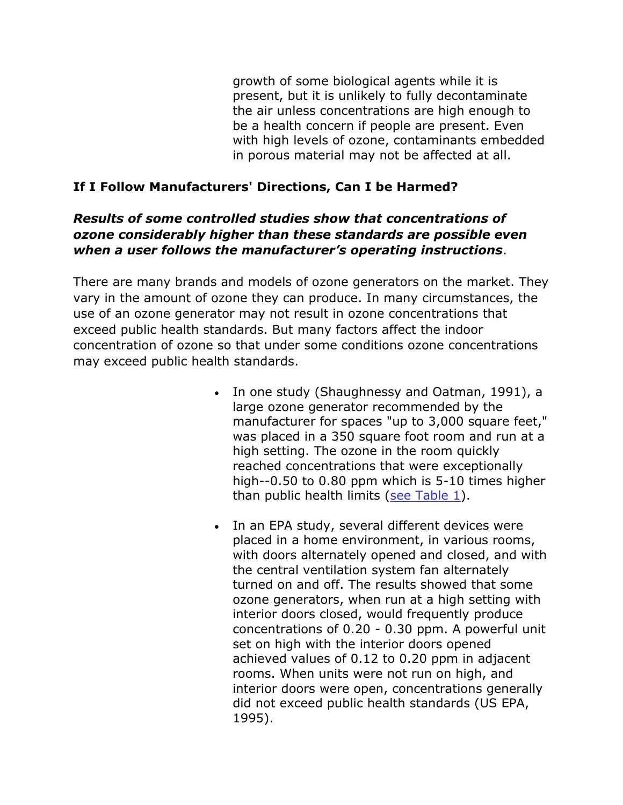growth of some biological agents while it is present, but it is unlikely to fully decontaminate the air unless concentrations are high enough to be a health concern if people are present. Even with high levels of ozone, contaminants embedded in porous material may not be affected at all.

# **If I Follow Manufacturers' Directions, Can I be Harmed?**

## *Results of some controlled studies show that concentrations of ozone considerably higher than these standards are possible even when a user follows the manufacturer's operating instructions*.

There are many brands and models of ozone generators on the market. They vary in the amount of ozone they can produce. In many circumstances, the use of an ozone generator may not result in ozone concentrations that exceed public health standards. But many factors affect the indoor concentration of ozone so that under some conditions ozone concentrations may exceed public health standards.

- In one study (Shaughnessy and Oatman, 1991), a large ozone generator recommended by the manufacturer for spaces "up to 3,000 square feet," was placed in a 350 square foot room and run at a high setting. The ozone in the room quickly reached concentrations that were exceptionally high--0.50 to 0.80 ppm which is 5-10 times higher than public health limits (see Table  $1$ ).
- In an EPA study, several different devices were placed in a home environment, in various rooms, with doors alternately opened and closed, and with the central ventilation system fan alternately turned on and off. The results showed that some ozone generators, when run at a high setting with interior doors closed, would frequently produce concentrations of 0.20 - 0.30 ppm. A powerful unit set on high with the interior doors opened achieved values of 0.12 to 0.20 ppm in adjacent rooms. When units were not run on high, and interior doors were open, concentrations generally did not exceed public health standards (US EPA, 1995).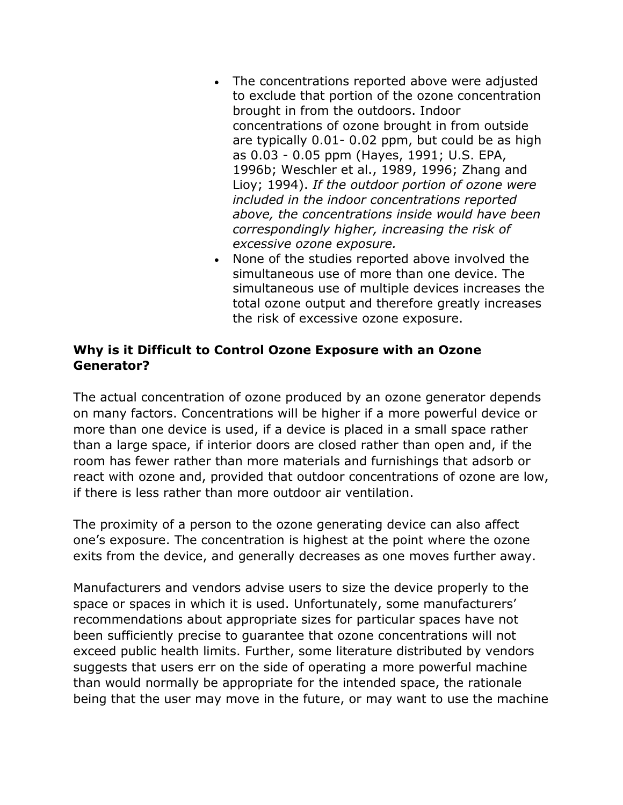- The concentrations reported above were adjusted to exclude that portion of the ozone concentration brought in from the outdoors. Indoor concentrations of ozone brought in from outside are typically 0.01- 0.02 ppm, but could be as high as 0.03 - 0.05 ppm (Hayes, 1991; U.S. EPA, 1996b; Weschler et al., 1989, 1996; Zhang and Lioy; 1994). *If the outdoor portion of ozone were included in the indoor concentrations reported above, the concentrations inside would have been correspondingly higher, increasing the risk of excessive ozone exposure.*
- None of the studies reported above involved the simultaneous use of more than one device. The simultaneous use of multiple devices increases the total ozone output and therefore greatly increases the risk of excessive ozone exposure.

## **Why is it Difficult to Control Ozone Exposure with an Ozone Generator?**

The actual concentration of ozone produced by an ozone generator depends on many factors. Concentrations will be higher if a more powerful device or more than one device is used, if a device is placed in a small space rather than a large space, if interior doors are closed rather than open and, if the room has fewer rather than more materials and furnishings that adsorb or react with ozone and, provided that outdoor concentrations of ozone are low, if there is less rather than more outdoor air ventilation.

The proximity of a person to the ozone generating device can also affect one's exposure. The concentration is highest at the point where the ozone exits from the device, and generally decreases as one moves further away.

Manufacturers and vendors advise users to size the device properly to the space or spaces in which it is used. Unfortunately, some manufacturers' recommendations about appropriate sizes for particular spaces have not been sufficiently precise to guarantee that ozone concentrations will not exceed public health limits. Further, some literature distributed by vendors suggests that users err on the side of operating a more powerful machine than would normally be appropriate for the intended space, the rationale being that the user may move in the future, or may want to use the machine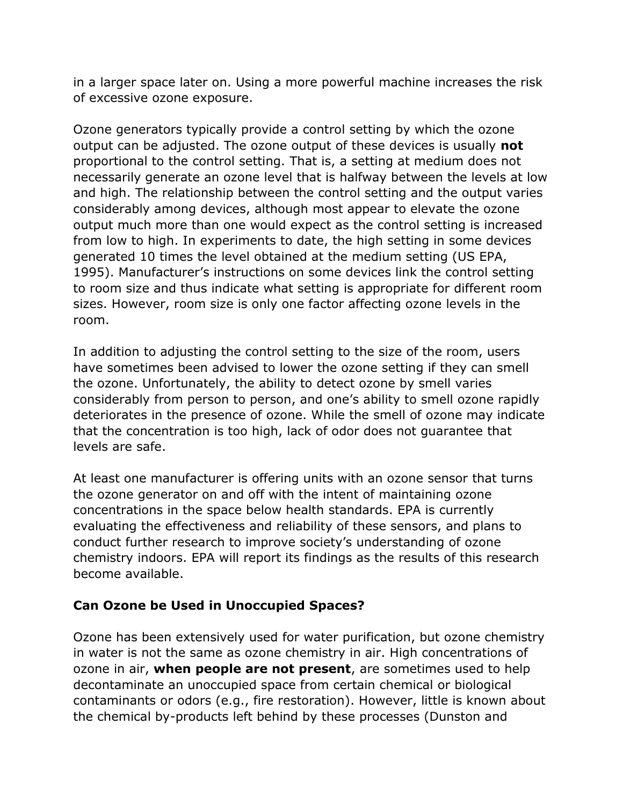in a larger space later on. Using a more powerful machine increases the risk of excessive ozone exposure.

Ozone generators typically provide a control setting by which the ozone output can be adjusted. The ozone output of these devices is usually **not** proportional to the control setting. That is, a setting at medium does not necessarily generate an ozone level that is halfway between the levels at low and high. The relationship between the control setting and the output varies considerably among devices, although most appear to elevate the ozone output much more than one would expect as the control setting is increased from low to high. In experiments to date, the high setting in some devices generated 10 times the level obtained at the medium setting (US EPA, 1995). Manufacturer's instructions on some devices link the control setting to room size and thus indicate what setting is appropriate for different room sizes. However, room size is only one factor affecting ozone levels in the room.

In addition to adjusting the control setting to the size of the room, users have sometimes been advised to lower the ozone setting if they can smell the ozone. Unfortunately, the ability to detect ozone by smell varies considerably from person to person, and one's ability to smell ozone rapidly deteriorates in the presence of ozone. While the smell of ozone may indicate that the concentration is too high, lack of odor does not guarantee that levels are safe.

At least one manufacturer is offering units with an ozone sensor that turns the ozone generator on and off with the intent of maintaining ozone concentrations in the space below health standards. EPA is currently evaluating the effectiveness and reliability of these sensors, and plans to conduct further research to improve society's understanding of ozone chemistry indoors. EPA will report its findings as the results of this research become available.

#### **Can Ozone be Used in Unoccupied Spaces?**

Ozone has been extensively used for water purification, but ozone chemistry in water is not the same as ozone chemistry in air. High concentrations of ozone in air, **when people are not present**, are sometimes used to help decontaminate an unoccupied space from certain chemical or biological contaminants or odors (e.g., fire restoration). However, little is known about the chemical by-products left behind by these processes (Dunston and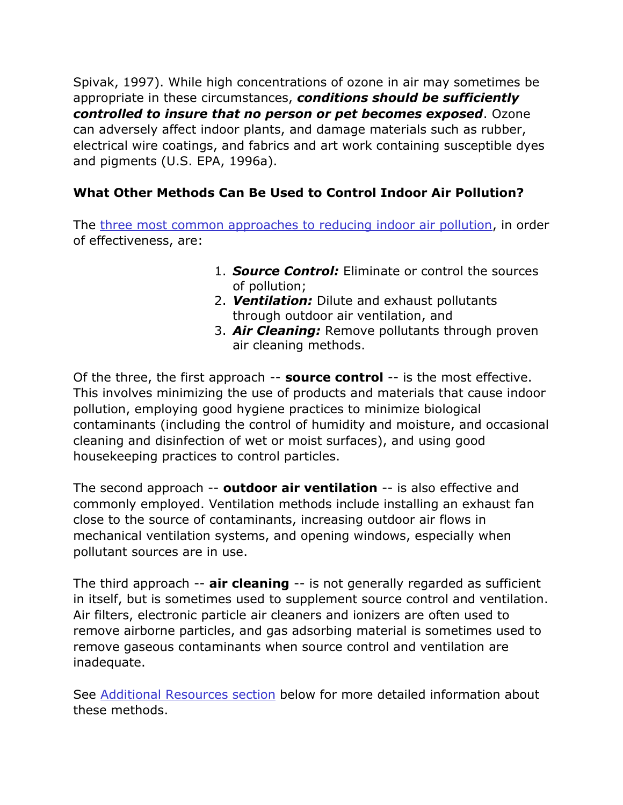Spivak, 1997). While high concentrations of ozone in air may sometimes be appropriate in these circumstances, *conditions should be sufficiently controlled to insure that no person or pet becomes exposed*. Ozone can adversely affect indoor plants, and damage materials such as rubber, electrical wire coatings, and fabrics and art work containing susceptible dyes and pigments (U.S. EPA, 1996a).

# **What Other Methods Can Be Used to Control Indoor Air Pollution?**

The [three most common approaches to reducing indoor air pollution,](http://www.epa.gov/iaq/pubs/insidest.html#Improve5) in order of effectiveness, are:

- 1. *Source Control:* Eliminate or control the sources of pollution;
- 2. *Ventilation:* Dilute and exhaust pollutants through outdoor air ventilation, and
- 3. *Air Cleaning:* Remove pollutants through proven air cleaning methods.

Of the three, the first approach -- **source control** -- is the most effective. This involves minimizing the use of products and materials that cause indoor pollution, employing good hygiene practices to minimize biological contaminants (including the control of humidity and moisture, and occasional cleaning and disinfection of wet or moist surfaces), and using good housekeeping practices to control particles.

The second approach -- **outdoor air ventilation** -- is also effective and commonly employed. Ventilation methods include installing an exhaust fan close to the source of contaminants, increasing outdoor air flows in mechanical ventilation systems, and opening windows, especially when pollutant sources are in use.

The third approach -- **air cleaning** -- is not generally regarded as sufficient in itself, but is sometimes used to supplement source control and ventilation. Air filters, electronic particle air cleaners and ionizers are often used to remove airborne particles, and gas adsorbing material is sometimes used to remove gaseous contaminants when source control and ventilation are inadequate.

See [Additional Resources section](http://www.epa.gov/iaq/pubs/ozonegen.html#additional resources) below for more detailed information about these methods.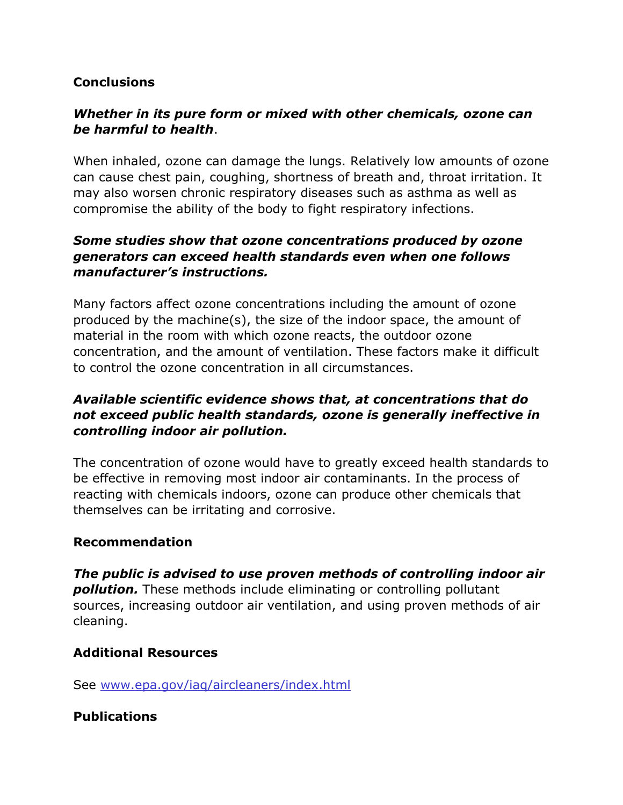## **Conclusions**

## *Whether in its pure form or mixed with other chemicals, ozone can be harmful to health*.

When inhaled, ozone can damage the lungs. Relatively low amounts of ozone can cause chest pain, coughing, shortness of breath and, throat irritation. It may also worsen chronic respiratory diseases such as asthma as well as compromise the ability of the body to fight respiratory infections.

## *Some studies show that ozone concentrations produced by ozone generators can exceed health standards even when one follows manufacturer's instructions.*

Many factors affect ozone concentrations including the amount of ozone produced by the machine(s), the size of the indoor space, the amount of material in the room with which ozone reacts, the outdoor ozone concentration, and the amount of ventilation. These factors make it difficult to control the ozone concentration in all circumstances.

## *Available scientific evidence shows that, at concentrations that do not exceed public health standards, ozone is generally ineffective in controlling indoor air pollution.*

The concentration of ozone would have to greatly exceed health standards to be effective in removing most indoor air contaminants. In the process of reacting with chemicals indoors, ozone can produce other chemicals that themselves can be irritating and corrosive.

#### **Recommendation**

*The public is advised to use proven methods of controlling indoor air pollution.* These methods include eliminating or controlling pollutant sources, increasing outdoor air ventilation, and using proven methods of air cleaning.

## **Additional Resources**

See [www.epa.gov/iaq/aircleaners/index.html](http://www.epa.gov/iaq/aircleaners/index.html)

## **Publications**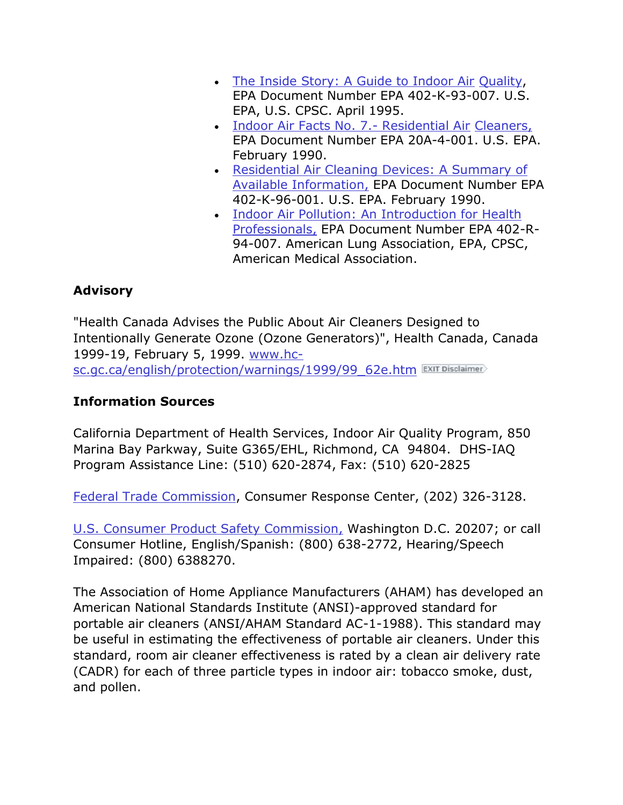- [The Inside Story: A Guide to Indoor Air](http://www.epa.gov/iaq/pubs/insidest.html) [Quality,](http://www.epa.gov/iaq/pubs/insidest.html) EPA Document Number EPA 402-K-93-007. U.S. EPA, U.S. CPSC. April 1995.
- [Indoor Air Facts No. 7.-](http://www.epa.gov/iaq/pubs/airclean.html) Residential Air [Cleaners,](http://www.epa.gov/iaq/pubs/airclean.html) EPA Document Number EPA 20A-4-001. U.S. EPA. February 1990.
- [Residential Air Cleaning Devices: A Summary of](http://www.epa.gov/iaq/pubs/residair.html)  [Available Information,](http://www.epa.gov/iaq/pubs/residair.html) EPA Document Number EPA 402-K-96-001. U.S. EPA. February 1990.
- Indoor Air Pollution: An Introduction for Health [Professionals,](http://www.epa.gov/iaq/pubs/hpguide.html) EPA Document Number EPA 402-R-94-007. American Lung Association, EPA, CPSC, American Medical Association.

## **Advisory**

"Health Canada Advises the Public About Air Cleaners Designed to Intentionally Generate Ozone (Ozone Generators)", Health Canada, Canada 1999-19, February 5, 1999. [www.hc](http://www.hc-sc.gc.ca/english/protection/warnings/1999/99_62e.htm)[sc.gc.ca/english/protection/warnings/1999/99\\_62e.htm](http://www.hc-sc.gc.ca/english/protection/warnings/1999/99_62e.htm) EXIT Disclaimer>

## **Information Sources**

California Department of Health Services, Indoor Air Quality Program, 850 Marina Bay Parkway, Suite G365/EHL, Richmond, CA 94804. DHS-IAQ Program Assistance Line: (510) 620-2874, Fax: (510) 620-2825

[Federal Trade Commission,](http://www.ftc.gov/) Consumer Response Center, (202) 326-3128.

[U.S. Consumer Product Safety Commission,](http://www.cpsc.gov/) Washington D.C. 20207; or call Consumer Hotline, English/Spanish: (800) 638-2772, Hearing/Speech Impaired: (800) 6388270.

The Association of Home Appliance Manufacturers (AHAM) has developed an American National Standards Institute (ANSI)-approved standard for portable air cleaners (ANSI/AHAM Standard AC-1-1988). This standard may be useful in estimating the effectiveness of portable air cleaners. Under this standard, room air cleaner effectiveness is rated by a clean air delivery rate (CADR) for each of three particle types in indoor air: tobacco smoke, dust, and pollen.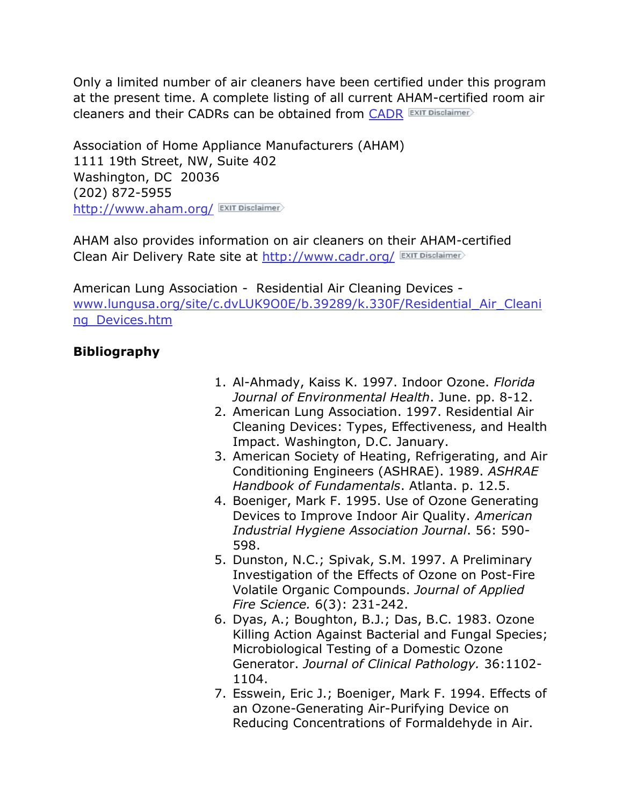Only a limited number of air cleaners have been certified under this program at the present time. A complete listing of all current AHAM-certified room air cleaners and their CADRs can be obtained from [CADR](http://www.cadr.org/)

Association of Home Appliance Manufacturers (AHAM) 1111 19th Street, NW, Suite 402 Washington, DC 20036 (202) 872-5955 <http://www.aham.org/>

AHAM also provides information on air cleaners on their AHAM-certified Clean Air Delivery Rate site at<http://www.cadr.org/>

American Lung Association - Residential Air Cleaning Devices [www.lungusa.org/site/c.dvLUK9O0E/b.39289/k.330F/Residential\\_Air\\_Cleani](http://www.lungusa.org/site/c.dvLUK9O0E/b.39289/k.330F/Residential_Air_Cleaning_Devices.htm) [ng\\_Devices.htm](http://www.lungusa.org/site/c.dvLUK9O0E/b.39289/k.330F/Residential_Air_Cleaning_Devices.htm)

## **Bibliography**

- 1. Al-Ahmady, Kaiss K. 1997. Indoor Ozone. *Florida Journal of Environmental Health*. June. pp. 8-12.
- 2. American Lung Association. 1997. Residential Air Cleaning Devices: Types, Effectiveness, and Health Impact. Washington, D.C. January.
- 3. American Society of Heating, Refrigerating, and Air Conditioning Engineers (ASHRAE). 1989. *ASHRAE Handbook of Fundamentals*. Atlanta. p. 12.5.
- 4. Boeniger, Mark F. 1995. Use of Ozone Generating Devices to Improve Indoor Air Quality. *American Industrial Hygiene Association Journal*. 56: 590- 598.
- 5. Dunston, N.C.; Spivak, S.M. 1997. A Preliminary Investigation of the Effects of Ozone on Post-Fire Volatile Organic Compounds. *Journal of Applied Fire Science.* 6(3): 231-242.
- 6. Dyas, A.; Boughton, B.J.; Das, B.C. 1983. Ozone Killing Action Against Bacterial and Fungal Species; Microbiological Testing of a Domestic Ozone Generator. *Journal of Clinical Pathology.* 36:1102- 1104.
- 7. Esswein, Eric J.; Boeniger, Mark F. 1994. Effects of an Ozone-Generating Air-Purifying Device on Reducing Concentrations of Formaldehyde in Air.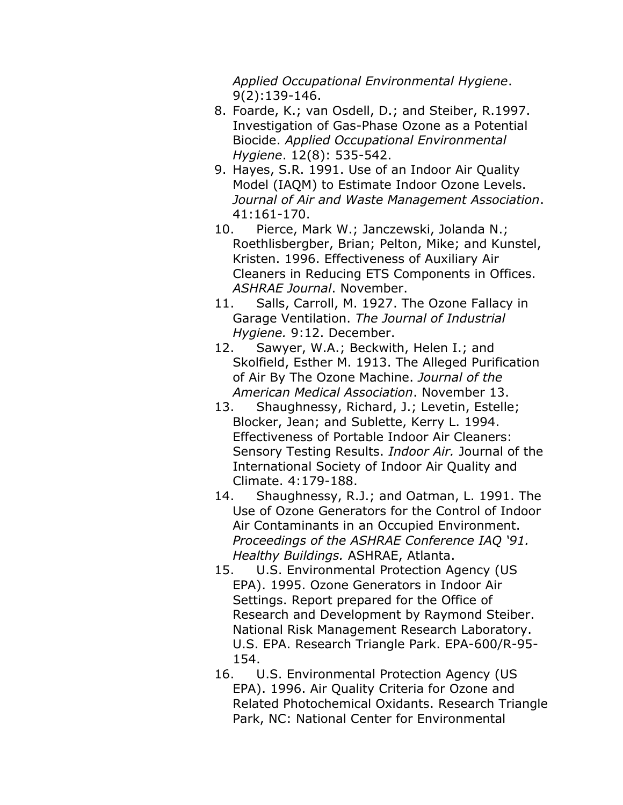*Applied Occupational Environmental Hygiene*. 9(2):139-146.

- 8. Foarde, K.; van Osdell, D.; and Steiber, R.1997. Investigation of Gas-Phase Ozone as a Potential Biocide. *Applied Occupational Environmental Hygiene*. 12(8): 535-542.
- 9. Hayes, S.R. 1991. Use of an Indoor Air Quality Model (IAQM) to Estimate Indoor Ozone Levels. *Journal of Air and Waste Management Association*. 41:161-170.
- 10. Pierce, Mark W.; Janczewski, Jolanda N.; Roethlisbergber, Brian; Pelton, Mike; and Kunstel, Kristen. 1996. Effectiveness of Auxiliary Air Cleaners in Reducing ETS Components in Offices. *ASHRAE Journal*. November.
- 11. Salls, Carroll, M. 1927. The Ozone Fallacy in Garage Ventilation. *The Journal of Industrial Hygiene.* 9:12. December.
- 12. Sawyer, W.A.; Beckwith, Helen I.; and Skolfield, Esther M. 1913. The Alleged Purification of Air By The Ozone Machine. *Journal of the American Medical Association*. November 13.
- 13. Shaughnessy, Richard, J.; Levetin, Estelle; Blocker, Jean; and Sublette, Kerry L. 1994. Effectiveness of Portable Indoor Air Cleaners: Sensory Testing Results. *Indoor Air.* Journal of the International Society of Indoor Air Quality and Climate. 4:179-188.
- 14. Shaughnessy, R.J.; and Oatman, L. 1991. The Use of Ozone Generators for the Control of Indoor Air Contaminants in an Occupied Environment. *Proceedings of the ASHRAE Conference IAQ '91. Healthy Buildings.* ASHRAE, Atlanta.
- 15. U.S. Environmental Protection Agency (US EPA). 1995. Ozone Generators in Indoor Air Settings. Report prepared for the Office of Research and Development by Raymond Steiber. National Risk Management Research Laboratory. U.S. EPA. Research Triangle Park. EPA-600/R-95- 154.
- 16. U.S. Environmental Protection Agency (US EPA). 1996. Air Quality Criteria for Ozone and Related Photochemical Oxidants. Research Triangle Park, NC: National Center for Environmental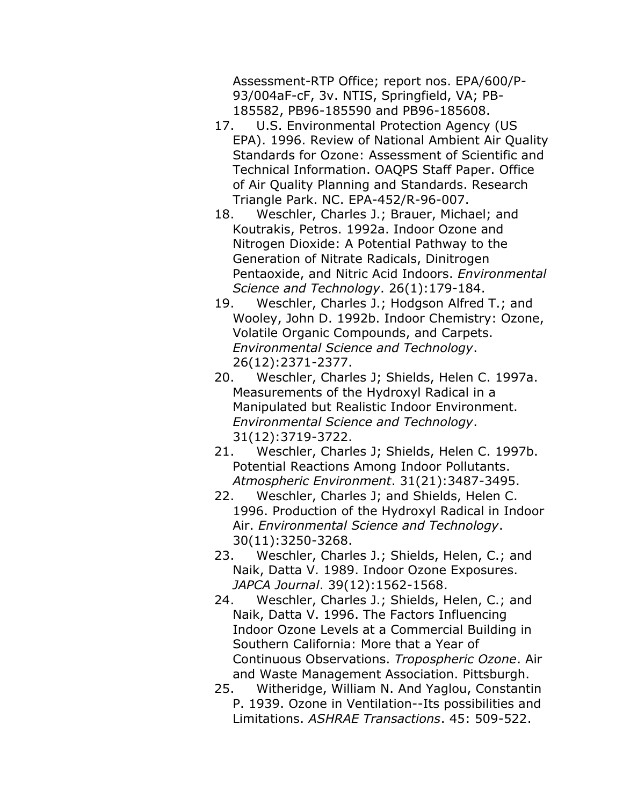Assessment-RTP Office; report nos. EPA/600/P-93/004aF-cF, 3v. NTIS, Springfield, VA; PB-185582, PB96-185590 and PB96-185608.

- 17. U.S. Environmental Protection Agency (US EPA). 1996. Review of National Ambient Air Quality Standards for Ozone: Assessment of Scientific and Technical Information. OAQPS Staff Paper. Office of Air Quality Planning and Standards. Research Triangle Park. NC. EPA-452/R-96-007.
- 18. Weschler, Charles J.; Brauer, Michael; and Koutrakis, Petros. 1992a. Indoor Ozone and Nitrogen Dioxide: A Potential Pathway to the Generation of Nitrate Radicals, Dinitrogen Pentaoxide, and Nitric Acid Indoors. *Environmental Science and Technology*. 26(1):179-184.
- 19. Weschler, Charles J.; Hodgson Alfred T.; and Wooley, John D. 1992b. Indoor Chemistry: Ozone, Volatile Organic Compounds, and Carpets. *Environmental Science and Technology*. 26(12):2371-2377.
- 20. Weschler, Charles J; Shields, Helen C. 1997a. Measurements of the Hydroxyl Radical in a Manipulated but Realistic Indoor Environment. *Environmental Science and Technology*. 31(12):3719-3722.
- 21. Weschler, Charles J; Shields, Helen C. 1997b. Potential Reactions Among Indoor Pollutants. *Atmospheric Environment*. 31(21):3487-3495.
- 22. Weschler, Charles J; and Shields, Helen C. 1996. Production of the Hydroxyl Radical in Indoor Air. *Environmental Science and Technology*. 30(11):3250-3268.
- 23. Weschler, Charles J.; Shields, Helen, C.; and Naik, Datta V. 1989. Indoor Ozone Exposures. *JAPCA Journal*. 39(12):1562-1568.
- 24. Weschler, Charles J.; Shields, Helen, C.; and Naik, Datta V. 1996. The Factors Influencing Indoor Ozone Levels at a Commercial Building in Southern California: More that a Year of Continuous Observations. *Tropospheric Ozone*. Air and Waste Management Association. Pittsburgh.
- 25. Witheridge, William N. And Yaglou, Constantin P. 1939. Ozone in Ventilation--Its possibilities and Limitations. *ASHRAE Transactions*. 45: 509-522.